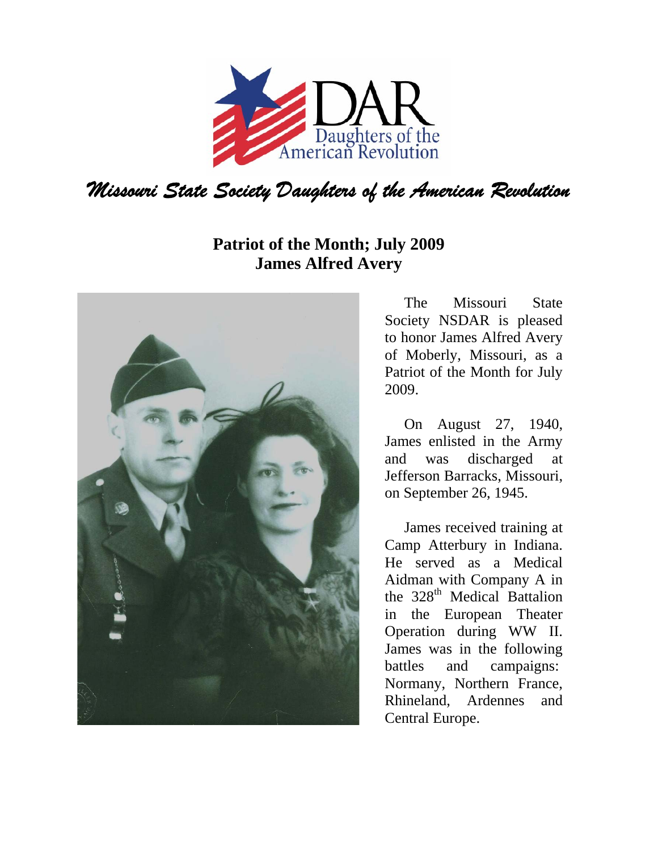

## **Patriot of the Month; July 2009 James Alfred Avery**



The Missouri State Society NSDAR is pleased to honor James Alfred Avery of Moberly, Missouri, as a Patriot of the Month for July 2009.

On August 27, 1940, James enlisted in the Army and was discharged at Jefferson Barracks, Missouri, on September 26, 1945.

James received training at Camp Atterbury in Indiana. He served as a Medical Aidman with Company A in the  $328<sup>th</sup>$  Medical Battalion in the European Theater Operation during WW II. James was in the following battles and campaigns: Normany, Northern France, Rhineland, Ardennes and Central Europe.